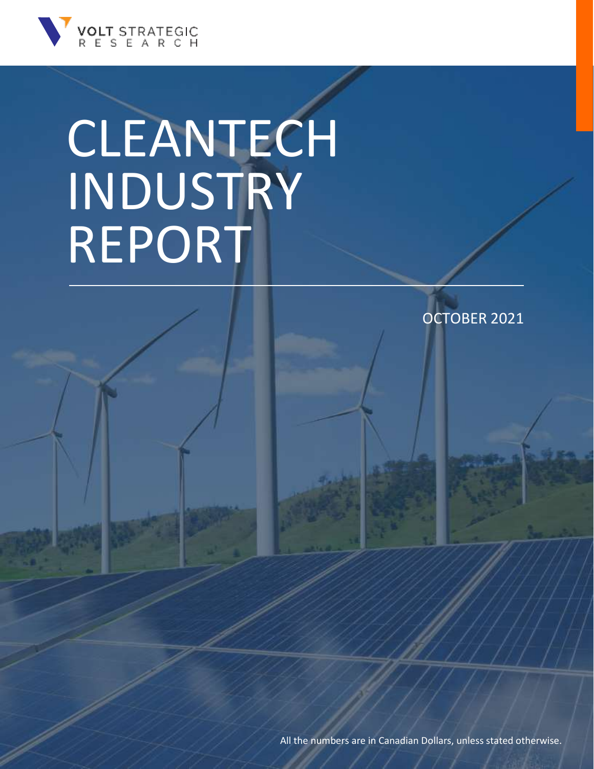

OCTOBER 2021

All the numbers are in Canadian Dollars, unless stated otherwise.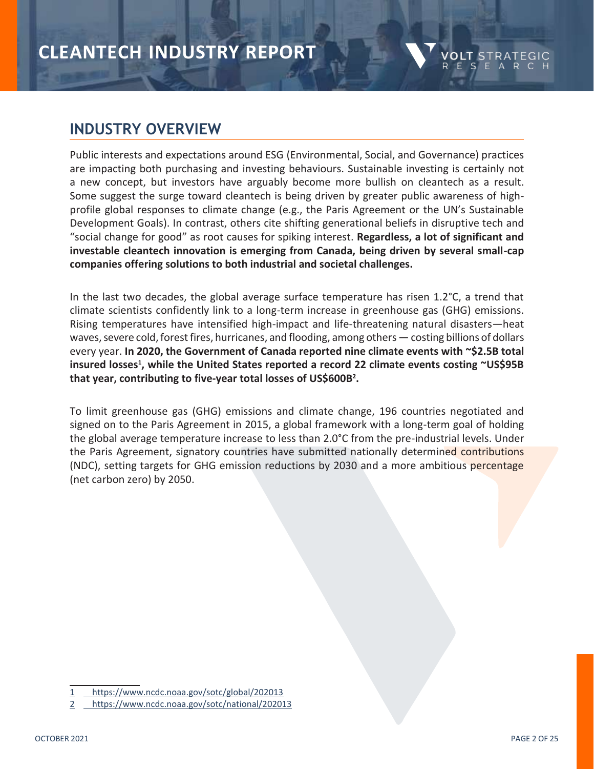### **INDUSTRY OVERVIEW**

Public interests and expectations around ESG (Environmental, Social, and Governance) practices are impacting both purchasing and investing behaviours. Sustainable investing is certainly not a new concept, but investors have arguably become more bullish on cleantech as a result. Some suggest the surge toward cleantech is being driven by greater public awareness of highprofile global responses to climate change (e.g., the Paris Agreement or the UN's Sustainable Development Goals). In contrast, others cite shifting generational beliefs in disruptive tech and "social change for good" as root causes for spiking interest. **Regardless, a lot of significant and investable cleantech innovation is emerging from Canada, being driven by several small-cap companies offering solutions to both industrial and societal challenges.**

In the last two decades, the global average surface temperature has risen  $1.2^{\circ}$ C, a trend that climate scientists confidently link to a long-term increase in greenhouse gas (GHG) emissions. Rising temperatures have intensified high-impact and life-threatening natural disasters—heat waves, severe cold, forest fires, hurricanes, and flooding, among others — costing billions of dollars every year. **In 2020, the Government of Canada reported nine climate events with ~\$2.5B total insured losses<sup>1</sup> , while the United States reported a record 22 climate events costing ~US\$95B that year, contributing to five-year total losses of US\$600B<sup>2</sup> .**

To limit greenhouse gas (GHG) emissions and climate change, 196 countries negotiated and signed on to the Paris Agreement in 2015, a global framework with a long-term goal of holding the global average temperature increase to less than 2.0°C from the pre-industrial levels. Under the Paris Agreement, signatory countries have submitted nationally determined contributions (NDC), setting targets for GHG emission reductions by 2030 and a more ambitious percentage (net carbon zero) by 2050.

<sup>1</sup> <https://www.ncdc.noaa.gov/sotc/global/202013>

<sup>2</sup> <https://www.ncdc.noaa.gov/sotc/national/202013>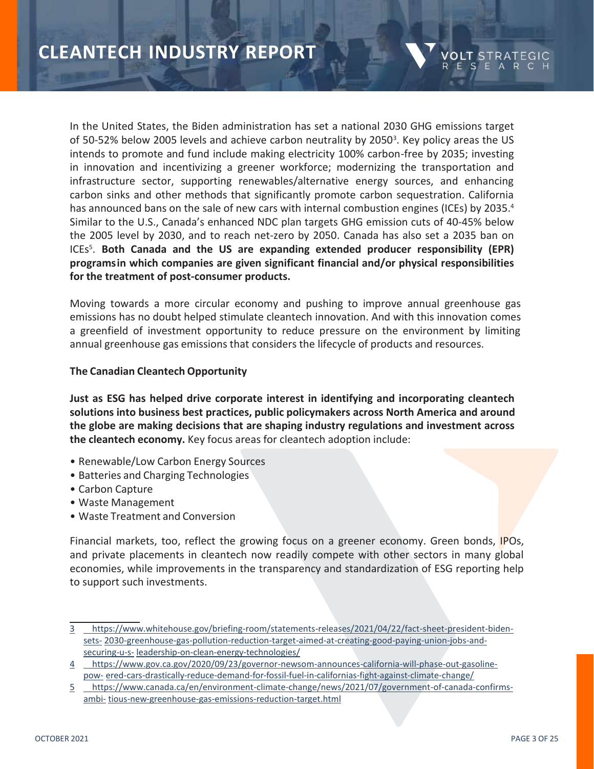In the United States, the Biden administration has set a national 2030 GHG emissions target of 50-52% below 2005 levels and achieve carbon neutrality by 2050<sup>3</sup>. Key policy areas the US intends to promote and fund include making electricity 100% carbon-free by 2035; investing in innovation and incentivizing a greener workforce; modernizing the transportation and infrastructure sector, supporting renewables/alternative energy sources, and enhancing carbon sinks and other methods that significantly promote carbon sequestration. California has announced bans on the sale of new cars with internal combustion engines (ICEs) by 2035.<sup>4</sup> Similar to the U.S., Canada's enhanced NDC plan targets GHG emission cuts of 40-45% below the 2005 level by 2030, and to reach net-zero by 2050. Canada has also set a 2035 ban on ICEs<sup>5</sup> . **Both Canada and the US are expanding extended producer responsibility (EPR) programsin which companies are given significant financial and/or physical responsibilities for the treatment of post-consumer products.**

Moving towards a more circular economy and pushing to improve annual greenhouse gas emissions has no doubt helped stimulate cleantech innovation. And with this innovation comes a greenfield of investment opportunity to reduce pressure on the environment by limiting annual [greenhouse](http://www.europarl.europa.eu/news/en/headlines/priorities/climate-change/20180301STO98928/greenhouse-gas-emissions-by-country-and-sector-infographic) gas emissions that considers the lifecycle of products and resources.

### **The Canadian Cleantech Opportunity**

**Just as ESG has helped drive corporate interest in identifying and incorporating cleantech solutions into business best practices, public policymakers across North America and around the globe are making decisions that are shaping industry regulations and investment across the cleantech economy.** Key focus areas for cleantech adoption include:

- Renewable/Low Carbon Energy Sources
- Batteries and Charging Technologies
- Carbon Capture
- Waste Management
- Waste Treatment and Conversion

Financial markets, too, reflect the growing focus on a greener economy. Green bonds, IPOs, and private placements in cleantech now readily compete with other sectors in many global economies, while improvements in the transparency and standardization of ESG reporting help to support such investments.

ESEA

<sup>3</sup> [https://www.whitehouse.gov/briefing-room/statements-releases/2021/04/22/fact-sheet-president-biden](https://www.whitehouse.gov/briefing-room/statements-releases/2021/04/22/fact-sheet-president-biden-sets-2030-greenhouse-gas-pollution-reduction-target-aimed-at-creating-good-paying-union-jobs-and-securing-u-s-leadership-on-clean-energy-technologies/)[sets-](https://www.whitehouse.gov/briefing-room/statements-releases/2021/04/22/fact-sheet-president-biden-sets-2030-greenhouse-gas-pollution-reduction-target-aimed-at-creating-good-paying-union-jobs-and-securing-u-s-leadership-on-clean-energy-technologies/) [2030-greenhouse-gas-pollution-reduction-target-aimed-at-creating-good-paying-union-jobs-and](https://www.whitehouse.gov/briefing-room/statements-releases/2021/04/22/fact-sheet-president-biden-sets-2030-greenhouse-gas-pollution-reduction-target-aimed-at-creating-good-paying-union-jobs-and-securing-u-s-leadership-on-clean-energy-technologies/)[securing-u-s-](https://www.whitehouse.gov/briefing-room/statements-releases/2021/04/22/fact-sheet-president-biden-sets-2030-greenhouse-gas-pollution-reduction-target-aimed-at-creating-good-paying-union-jobs-and-securing-u-s-leadership-on-clean-energy-technologies/) [leadership-on-clean-energy-technologies/](https://www.whitehouse.gov/briefing-room/statements-releases/2021/04/22/fact-sheet-president-biden-sets-2030-greenhouse-gas-pollution-reduction-target-aimed-at-creating-good-paying-union-jobs-and-securing-u-s-leadership-on-clean-energy-technologies/)

<sup>4</sup> [https://www.gov.ca.gov/2020/09/23/governor-newsom-announces-california-will-phase-out-gasoline](https://www.gov.ca.gov/2020/09/23/governor-newsom-announces-california-will-phase-out-gasoline-powered-cars-drastically-reduce-demand-for-fossil-fuel-in-californias-fight-against-climate-change/)[pow-](https://www.gov.ca.gov/2020/09/23/governor-newsom-announces-california-will-phase-out-gasoline-powered-cars-drastically-reduce-demand-for-fossil-fuel-in-californias-fight-against-climate-change/) [ered-cars-drastically-reduce-demand-for-fossil-fuel-in-californias-fight-against-climate-change/](https://www.gov.ca.gov/2020/09/23/governor-newsom-announces-california-will-phase-out-gasoline-powered-cars-drastically-reduce-demand-for-fossil-fuel-in-californias-fight-against-climate-change/)

<sup>5</sup> [https://www.canada.ca/en/environment-climate-change/news/2021/07/government-of-canada-confirms](https://www.canada.ca/en/environment-climate-change/news/2021/07/government-of-canada-confirms-ambitious-new-greenhouse-gas-emissions-reduction-target.html)[ambi-](https://www.canada.ca/en/environment-climate-change/news/2021/07/government-of-canada-confirms-ambitious-new-greenhouse-gas-emissions-reduction-target.html) [tious-new-greenhouse-gas-emissions-reduction-target.html](https://www.canada.ca/en/environment-climate-change/news/2021/07/government-of-canada-confirms-ambitious-new-greenhouse-gas-emissions-reduction-target.html)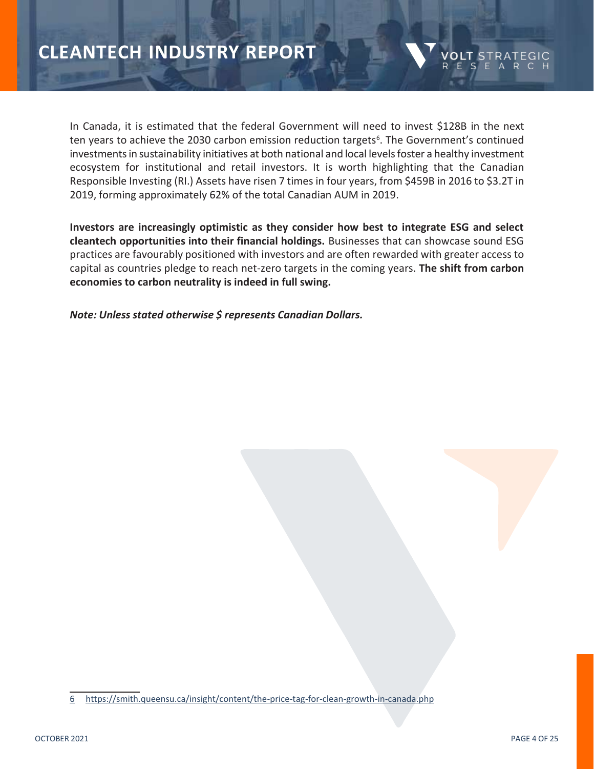

In Canada, it is estimated that the federal Government will need to invest \$128B in the next ten years to achieve the 2030 carbon emission reduction targets<sup>6</sup>. The Government's continued investments in sustainability initiatives at both national and local levels foster a healthy investment ecosystem for institutional and retail investors. It is worth highlighting that the Canadian Responsible Investing (RI.) Assets have risen 7 times in four years, from \$459B in 2016 to \$3.2T in 2019, forming approximately 62% of the total Canadian AUM in 2019.

**Investors are increasingly optimistic as they consider how best to integrate ESG and select cleantech opportunities into their financial holdings.** Businesses that can showcase sound ESG practices are favourably positioned with investors and are often rewarded with greater access to capital as countries pledge to reach net-zero targets in the coming years. **The shift from carbon economies to carbon neutrality is indeed in full swing.**

*Note: Unless stated otherwise \$ represents Canadian Dollars.*

<sup>6</sup> <https://smith.queensu.ca/insight/content/the-price-tag-for-clean-growth-in-canada.php>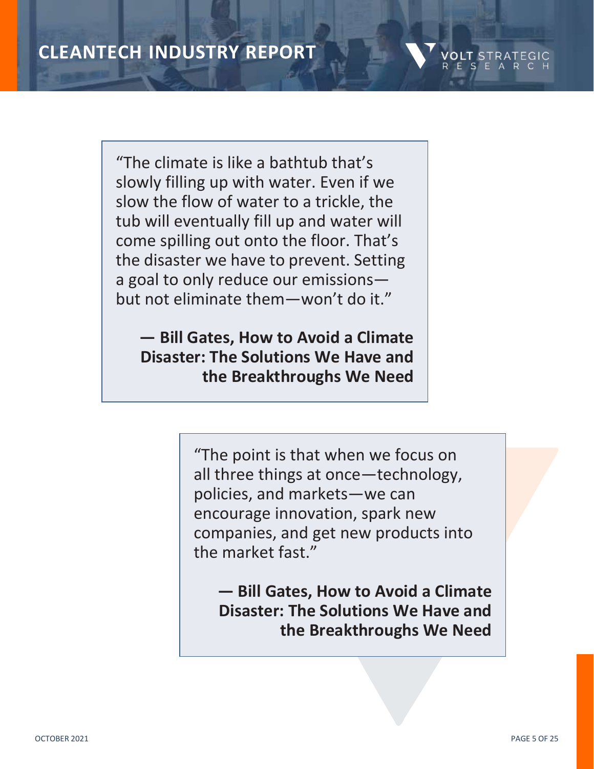

"The climate is like a bathtub that's slowly filling up with water. Even if we slow the flow of water to a trickle, the tub will eventually fill up and water will come spilling out onto the floor. That's the disaster we have to prevent. Setting a goal to only reduce our emissions but not eliminate them—won't do it."

**— Bill Gates, How to Avoid a Climate Disaster: The Solutions We Have and the Breakthroughs We Need**

> "The point is that when we focus on all three things at once—technology, policies, and markets—we can encourage innovation, spark new companies, and get new products into the market fast."

**— Bill Gates, How to Avoid a Climate Disaster: The Solutions We Have and the Breakthroughs We Need**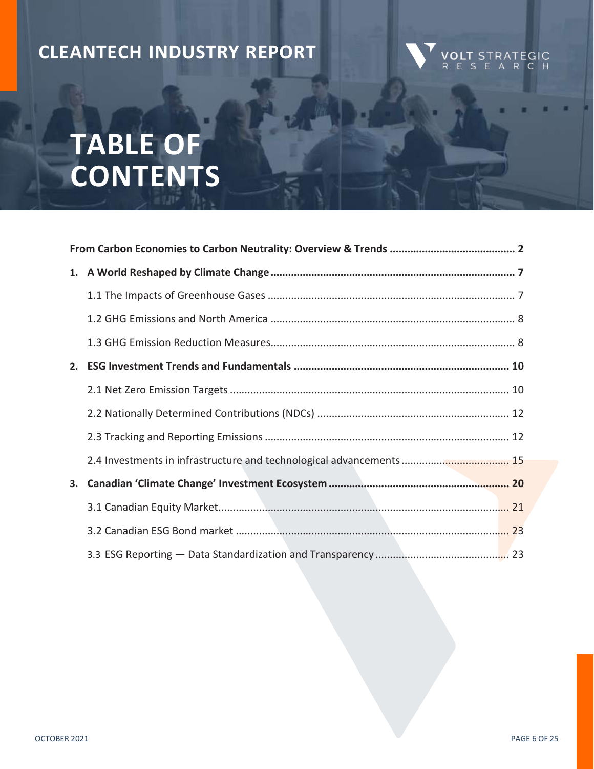# **TABLE OF CONTENTS**

| 2. |  |
|----|--|
|    |  |
|    |  |
|    |  |
|    |  |
| 3. |  |
|    |  |
|    |  |
|    |  |

**VOLT** STRATEGIC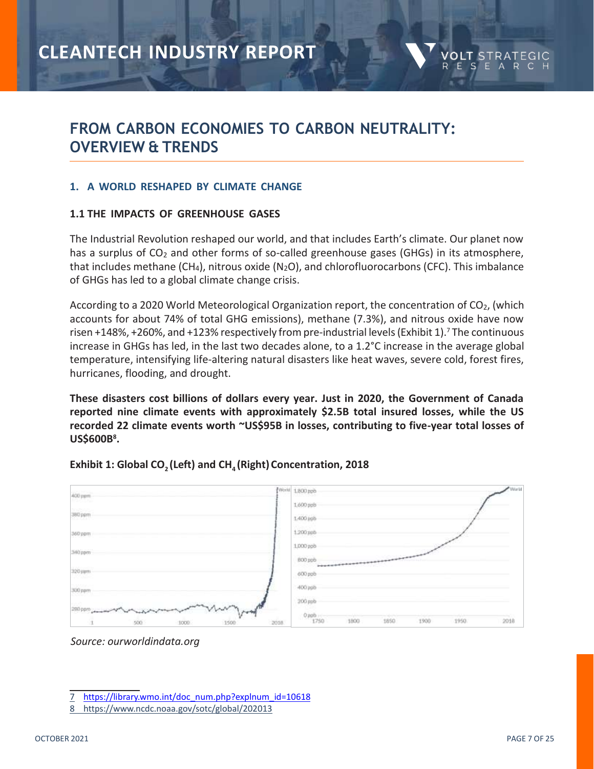

### **FROM CARBON ECONOMIES TO CARBON NEUTRALITY: OVERVIEW & TRENDS**

### **1. A WORLD RESHAPED BY CLIMATE CHANGE**

### **1.1 THE IMPACTS OF GREENHOUSE GASES**

The Industrial Revolution reshaped our world, and that includes Earth's climate. Our planet now has a surplus of  $CO<sub>2</sub>$  and other forms of so-called greenhouse gases (GHGs) in its atmosphere, that includes methane (CH<sub>4</sub>), nitrous oxide (N<sub>2</sub>O), and chlorofluorocarbons (CFC). This imbalance of GHGs has led to a global climate change crisis.

According to a 2020 World Meteorological Organization report, the concentration of CO<sub>2</sub>, (which accounts for about 74% of total GHG emissions), methane (7.3%), and nitrous oxide have now risen +148%, +260%, and +123% respectively from pre-industrial levels (Exhibit 1).<sup>7</sup> The continuous increase in GHGs has led, in the last two decades alone, to a 1.2°C increase in the average global temperature, intensifying life-altering natural disasters like heat waves, severe cold, forest fires, hurricanes, flooding, and drought.

**These disasters cost billions of dollars every year. Just in 2020, the Government of Canada reported nine climate events with approximately \$2.5B total insured losses, while the US recorded 22 climate events worth ~US\$95B in losses, contributing to five-year total losses of US\$600B<sup>8</sup> .**



### **Exhibit 1: Global CO2 (Left) and CH<sup>4</sup> (Right) Concentration, 2018**

*Source: ourworldindata.org*

<sup>7</sup> [https://library.wmo.int/doc\\_num.php?explnum\\_id=10618](https://library.wmo.int/doc_num.php?explnum_id=10618)

<sup>8</sup> <https://www.ncdc.noaa.gov/sotc/global/202013>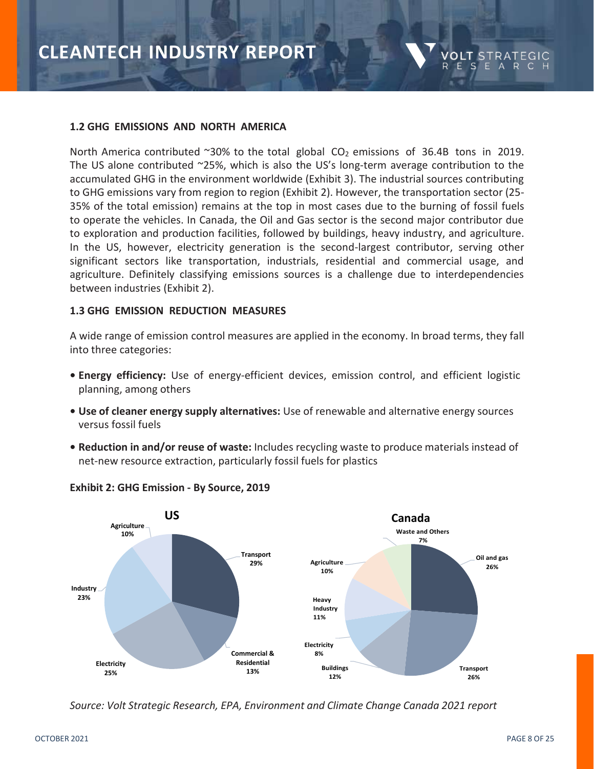

#### **1.2 GHG EMISSIONS AND NORTH AMERICA**

North America contributed  $\sim$ 30% to the total global CO<sub>2</sub> emissions of 36.4B tons in 2019. The US alone contributed ~25%, which is also the US's long-term average contribution to the accumulated GHG in the environment worldwide (Exhibit 3). The industrial sources contributing to GHG emissions vary from region to region (Exhibit 2). However, the transportation sector (25- 35% of the total emission) remains at the top in most cases due to the burning of fossil fuels to operate the vehicles. In Canada, the Oil and Gas sector is the second major contributor due to exploration and production facilities, followed by buildings, heavy industry, and agriculture. In the US, however, electricity generation is the second-largest contributor, serving other significant sectors like transportation, industrials, residential and commercial usage, and agriculture. Definitely classifying emissions sources is a challenge due to interdependencies between industries (Exhibit 2).

#### **1.3 GHG EMISSION REDUCTION MEASURES**

A wide range of emission control measures are applied in the economy. In broad terms, they fall into three categories:

- **• Energy efficiency:** Use of energy-efficient devices, emission control, and efficient logistic planning, among others
- **• Use of cleaner energy supply alternatives:** Use of renewable and alternative energy sources versus fossil fuels
- **• Reduction in and/or reuse of waste:** Includes recycling waste to produce materials instead of net-new resource extraction, particularly fossil fuels for plastics



#### **Exhibit 2: GHG Emission - By Source, 2019**

*Source: Volt Strategic Research, EPA, Environment and Climate Change Canada 2021 report*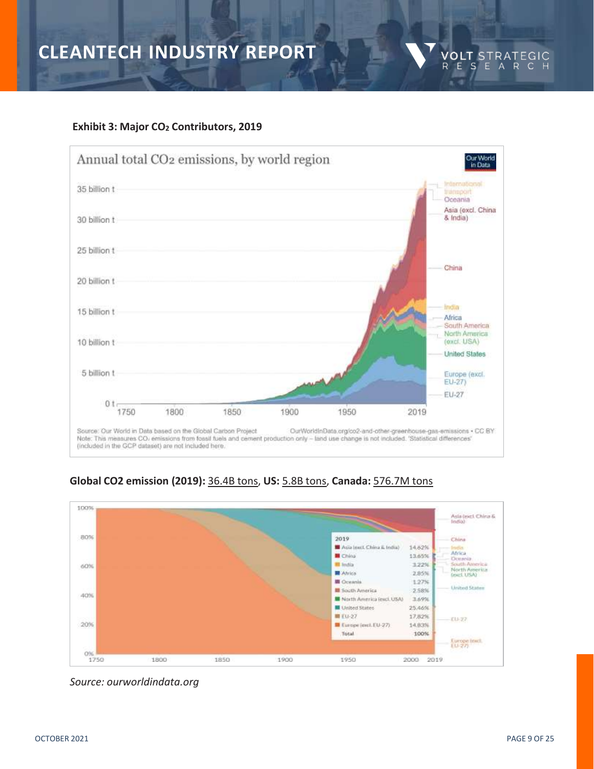### **Exhibit 3: Major CO<sup>2</sup> Contributors, 2019**







*Source: ourworldindata.org*

**VOLT** STRATEGIC<br>RESEARCH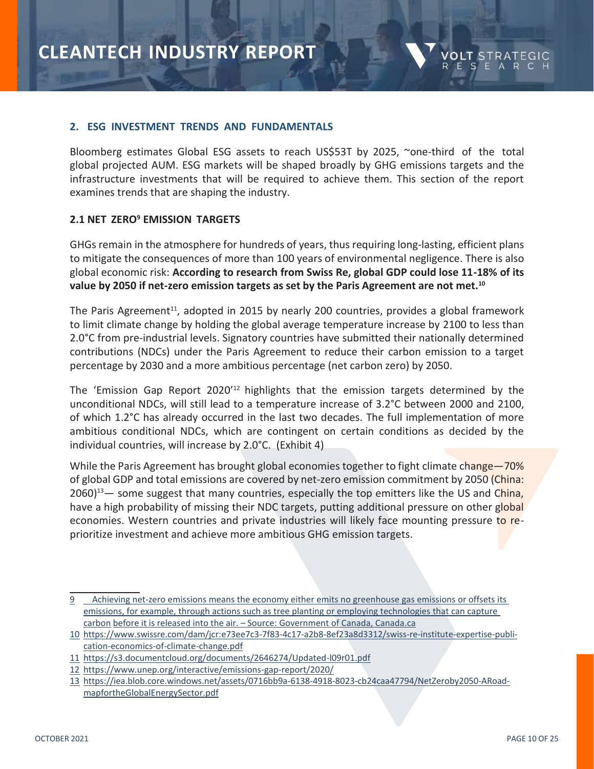

#### **2. ESG INVESTMENT TRENDS AND FUNDAMENTALS**

Bloomberg estimates Global ESG assets to reach US\$53T by 2025, ~one-third of the total global projected AUM. ESG markets will be shaped broadly by GHG emissions targets and the infrastructure investments that will be required to achieve them. This section of the report examines trends that are shaping the industry.

### **2.1 NET ZERO<sup>9</sup> EMISSION TARGETS**

GHGs remain in the atmosphere for hundreds of years, thus requiring long-lasting, efficient plans to mitigate the consequences of more than 100 years of environmental negligence. There is also global economic risk: **According to research from Swiss Re, global GDP could lose 11-18% of its value by 2050 if net-zero emission targets as set by the Paris Agreement are not met.<sup>10</sup>**

The Paris Agreement<sup>11</sup>, adopted in 2015 by nearly 200 countries, provides a global framework to limit climate change by holding the global average temperature increase by 2100 to less than 2.0°C from pre-industrial levels. Signatory countries have submitted their nationally determined contributions (NDCs) under the Paris Agreement to reduce their carbon emission to a target percentage by 2030 and a more ambitious percentage (net carbon zero) by 2050.

The 'Emission Gap Report 2020'<sup>12</sup> highlights that the emission targets determined by the unconditional NDCs, will still lead to a temperature increase of 3.2°C between 2000 and 2100, of which 1.2°C has already occurred in the last two decades. The full implementation of more ambitious conditional NDCs, which are contingent on certain conditions as decided by the individual countries, will increase by 2.0°C. (Exhibit 4)

While the Paris Agreement has brought global economies together to fight climate change–70% of global GDP and total emissions are covered by net-zero emission commitment by 2050 (China:  $2060$ <sup>13</sup> — some suggest that many countries, especially the top emitters like the US and China, have a high probability of missing their NDC targets, putting additional pressure on other global economies. Western countries and private industries will likely face mounting pressure to reprioritize investment and achieve more ambitious GHG emission targets.

<sup>9</sup> Achieving net-zero emissions means the economy either emits no greenhouse gas emissions or offsets its emissions, for example, through actions such as tree planting or employing technologies that can capture carbon before it is released into the air. – Source: Government of Canada, Canada.ca

<sup>10</sup> https://www.swissre.com/dam/jcr:e73ee7c3-7f83-4c17-a2b8-8ef23a8d3312/swiss-re-institute-expertise-publication-economics-of-climate-change.pdf

<sup>11</sup> <https://s3.documentcloud.org/documents/2646274/Updated-l09r01.pdf>

<sup>12</sup> <https://www.unep.org/interactive/emissions-gap-report/2020/>

<sup>13</sup> [https://iea.blob.core.windows.net/assets/0716bb9a-6138-4918-8023-cb24caa47794/NetZeroby2050-ARoad](https://iea.blob.core.windows.net/assets/0716bb9a-6138-4918-8023-cb24caa47794/NetZeroby2050-ARoadmapfortheGlobalEnergySector.pdf)[mapfortheGlobalEnergySector.pdf](https://iea.blob.core.windows.net/assets/0716bb9a-6138-4918-8023-cb24caa47794/NetZeroby2050-ARoadmapfortheGlobalEnergySector.pdf)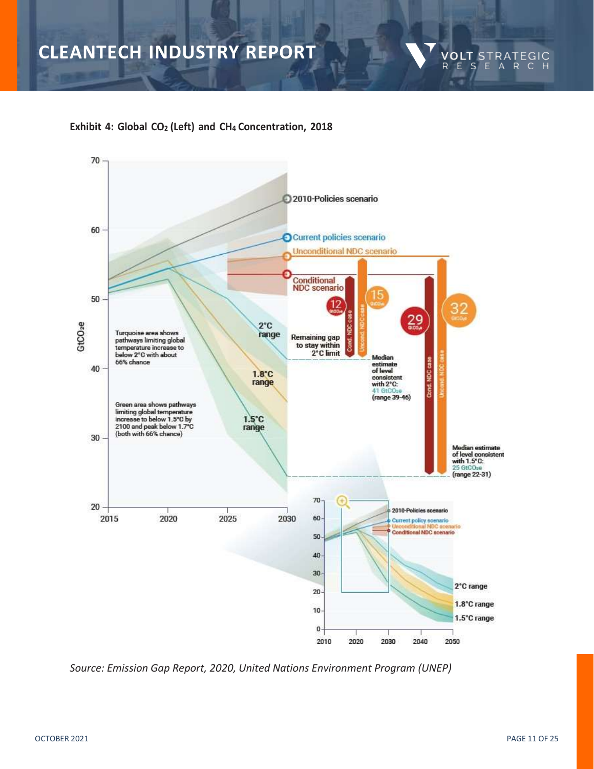

### **Exhibit 4: Global CO<sup>2</sup> (Left) and CH<sup>4</sup> Concentration, 2018**



*Source: Emission Gap Report, 2020, United Nations Environment Program (UNEP)*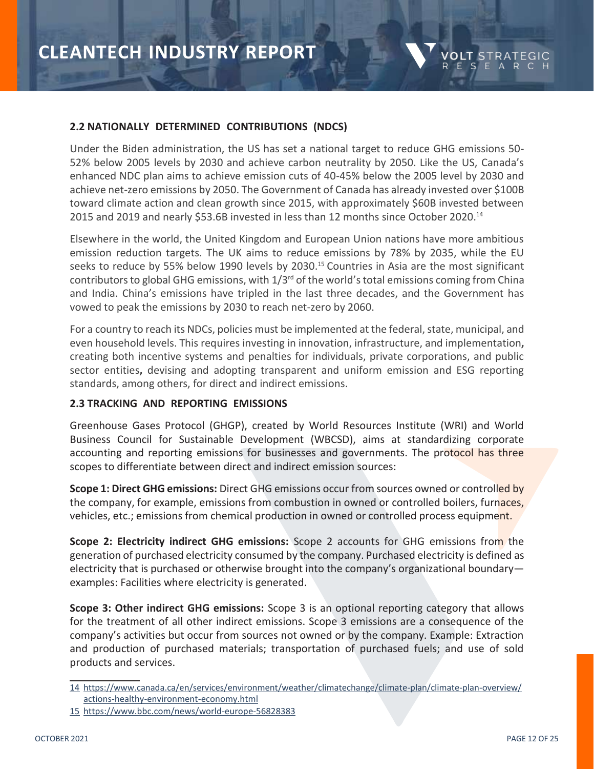

### **2.2 NATIONALLY DETERMINED CONTRIBUTIONS (NDCS)**

Under the Biden administration, the US has set a national target to reduce GHG emissions 50- 52% below 2005 levels by 2030 and achieve carbon neutrality by 2050. Like the US, Canada's enhanced NDC plan aims to achieve emission cuts of 40-45% below the 2005 level by 2030 and achieve net-zero emissions by 2050. The Government of Canada has already invested over \$100B toward climate action and clean growth since 2015, with approximately \$60B invested between 2015 and 2019 and nearly \$53.6B invested in less than 12 months since October 2020.<sup>14</sup>

Elsewhere in the world, the United Kingdom and European Union nations have more ambitious emission reduction targets. The UK aims to reduce emissions by 78% by 2035, while the EU seeks to reduce by 55% below 1990 levels by 2030.<sup>15</sup> Countries in Asia are the most significant contributors to global GHG emissions, with  $1/3^{rd}$  of the world's total emissions coming from China and India. China's emissions have tripled in the last three decades, and the Government has vowed to peak the emissions by 2030 to reach net-zero by 2060.

For a country to reach its NDCs, policies must be implemented at the federal, state, municipal, and even household levels. This requires investing in innovation, infrastructure, and implementation**,** creating both incentive systems and penalties for individuals, private corporations, and public sector entities**,** devising and adopting transparent and uniform emission and ESG reporting standards, among others, for direct and indirect emissions.

### **2.3 TRACKING AND REPORTING EMISSIONS**

Greenhouse Gases Protocol (GHGP), created by World Resources Institute (WRI) and World Business Council for Sustainable Development (WBCSD), aims at standardizing corporate accounting and reporting emissions for businesses and governments. The protocol has three scopes to differentiate between direct and indirect emission sources:

**Scope 1: Direct GHG emissions:** Direct GHG emissions occur from sources owned or controlled by the company, for example, emissions from combustion in owned or controlled boilers, furnaces, vehicles, etc.; emissions from chemical production in owned or controlled process equipment.

**Scope 2: Electricity indirect GHG emissions:** Scope 2 accounts for GHG emissions from the generation of purchased electricity consumed by the company. Purchased electricity is defined as electricity that is purchased or otherwise brought into the company's organizational boundary examples: Facilities where electricity is generated.

**Scope 3: Other indirect GHG emissions:** Scope 3 is an optional reporting category that allows for the treatment of all other indirect emissions. Scope 3 emissions are a consequence of the company's activities but occur from sources not owned or by the company. Example: Extraction and production of purchased materials; transportation of purchased fuels; and use of sold products and services.

<sup>14</sup> [https://www.canada.ca/en/services/environment/weather/climatechange/climate-plan/climate-plan-overview/](https://www.canada.ca/en/services/environment/weather/climatechange/climate-plan/climate-plan-overview/actions-healthy-environment-economy.html) [actions-healthy-environment-economy.html](https://www.canada.ca/en/services/environment/weather/climatechange/climate-plan/climate-plan-overview/actions-healthy-environment-economy.html)

<sup>15</sup> <https://www.bbc.com/news/world-europe-56828383>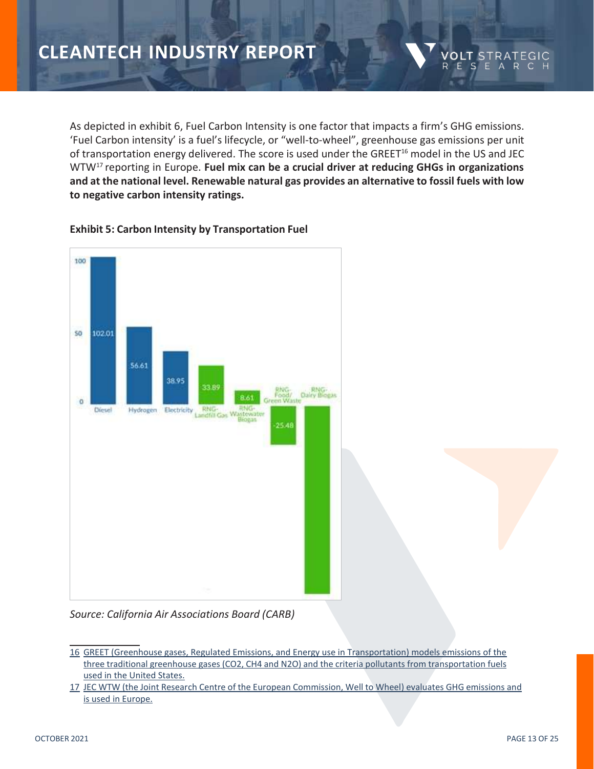As depicted in exhibit 6, Fuel Carbon Intensity is one factor that impacts a firm's GHG emissions. 'Fuel Carbon intensity' is a fuel's lifecycle, or "well-to-wheel", greenhouse gas emissions per unit of transportation energy delivered. The score is used under the GREET<sup>16</sup> model in the US and JEC WTW<sup>17</sup> reporting in Europe. **Fuel mix can be a crucial driver at reducing GHGs in organizations and at the national level. Renewable natural gas provides an alternative to fossil fuels with low to negative carbon intensity ratings.**

VOLT.

ESE

R

STRA

### **Exhibit 5: Carbon Intensity by Transportation Fuel**



*Source: California Air Associations Board (CARB)*

17 JEC WTW (the Joint Research Centre of the European Commission, Well to Wheel) evaluates GHG emissions and is used in Europe.

<sup>16</sup> GREET (Greenhouse gases, Regulated Emissions, and Energy use in Transportation) models emissions of the three traditional greenhouse gases (CO2, CH4 and N2O) and the criteria pollutants from transportation fuels used in the United States.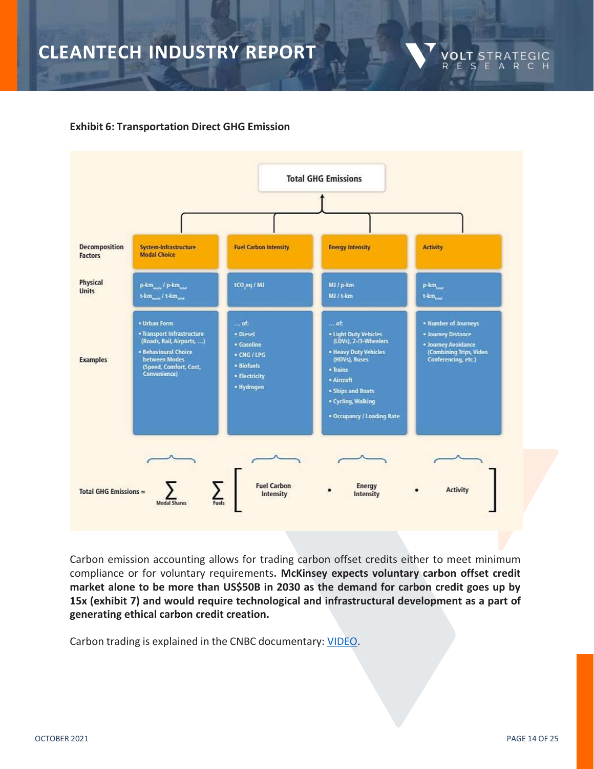### **Exhibit 6: Transportation Direct GHG Emission**



Carbon emission accounting allows for trading carbon offset credits either to meet minimum compliance or for voluntary requirements**. McKinsey expects voluntary carbon offset credit market alone to be more than US\$50B in 2030 as the demand for carbon credit goes up by 15x (exhibit 7) and would require technological and infrastructural development as a part of generating ethical carbon credit creation.**

Carbon trading is explained in the CNBC documentary: [VIDEO.](https://www.youtube.com/watch?v=FQSaoPPe2F0)

**VOLT** STRATEGIC<br>RESEARCH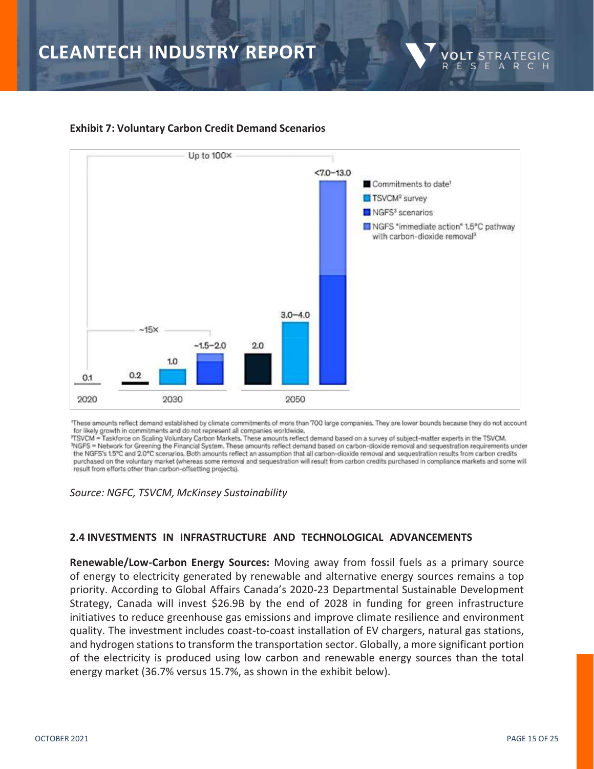

VOLT.

R

STRA

ESEARC

### **Exhibit 7: Voluntary Carbon Credit Demand Scenarios**

"These amounts reflect demand established by climate commitments of more than 700 large companies. They are lower bounds because they do not account for likely growth in commitments and do not represent all companies worldwide.

\*TSVCM = Taskforce on Scaling Voluntary Carbon Markets, These amounts reflect demand based on a survey of subject-matter experts in the TSVCM. PNGFS = Network for Greening the Financial System. These amounts reflect demand based on carbon-dioxide removal and sequestration requirements under the NGFS's 1.5°C and 2.0°C scenarios, Both amounts reflect an assumption that all carbon-dioxide removal and sequestration results from carbon credits purchased on the voluntary market (whereas some removal and sequestration will result from carbon credits purchased in compliance markets and some will result from efforts other than carbon-offsetting projects).

*Source: NGFC, TSVCM, McKinsey Sustainability*

### **2.4 INVESTMENTS IN INFRASTRUCTURE AND TECHNOLOGICAL ADVANCEMENTS**

**Renewable/Low-Carbon Energy Sources:** Moving away from fossil fuels as a primary source of energy to electricity generated by renewable and alternative energy sources remains a top priority. According to Global Affairs Canada's 2020-23 Departmental Sustainable Development Strategy, Canada will invest \$26.9B by the end of 2028 in funding for green infrastructure initiatives to reduce greenhouse gas emissions and improve climate resilience and environment quality. The investment includes coast-to-coast installation of EV chargers, natural gas stations, and hydrogen stations to transform the transportation sector. Globally, a more significant portion of the electricity is produced using low carbon and renewable energy sources than the total energy market (36.7% versus 15.7%, as shown in the exhibit below).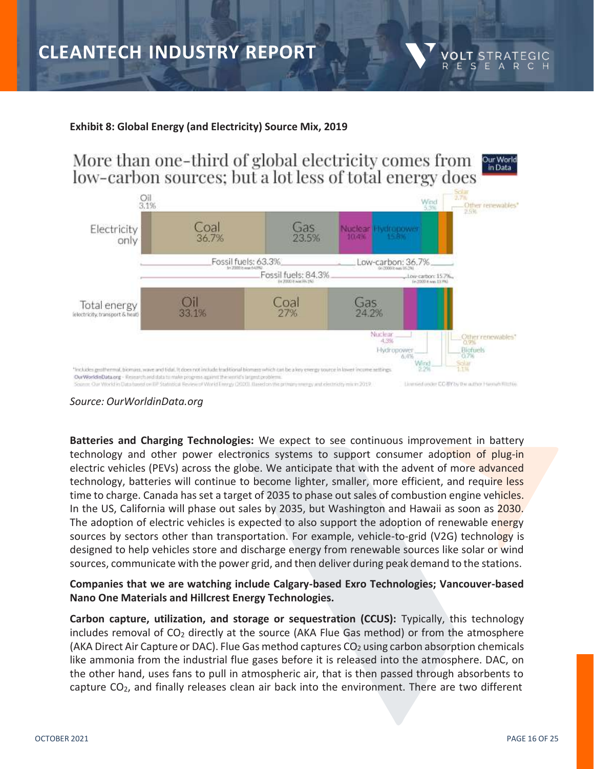### **Exhibit 8: Global Energy (and Electricity) Source Mix, 2019**

More than one-third of global electricity comes from Our World in Data low-carbon sources; but a lot less of total energy does



### *Source: OurWorldinData.org*

**Batteries and Charging Technologies:** We expect to see continuous improvement in battery technology and other power electronics systems to support consumer adoption of plug-in electric vehicles (PEVs) across the globe. We anticipate that with the advent of more advanced technology, batteries will continue to become lighter, smaller, more efficient, and require less time to charge. Canada has set a target of 2035 to phase out sales of combustion engine vehicles. In the US, California will phase out sales by 2035, but Washington and Hawaii as soon as 2030. The adoption of electric vehicles is expected to also support the adoption of renewable energy sources by sectors other than transportation. For example, vehicle-to-grid (V2G) technology is designed to help vehicles store and discharge energy from renewable sources like solar or wind sources, communicate with the power grid, and then deliver during peak demand to the stations.

### **Companies that we are watching include Calgary-based Exro Technologies; Vancouver-based Nano One Materials and Hillcrest Energy Technologies.**

**Carbon capture, utilization, and storage or sequestration (CCUS):** Typically, this technology includes removal of  $CO<sub>2</sub>$  directly at the source (AKA Flue Gas method) or from the atmosphere (AKA Direct Air Capture or DAC). Flue Gas method captures  $CO<sub>2</sub>$  using carbon absorption chemicals like ammonia from the industrial flue gases before it is released into the atmosphere. DAC, on the other hand, uses fans to pull in atmospheric air, that is then passed through absorbents to capture CO2, and finally releases clean air back into the environment. There are two different

**VOLT STRA** RESEARC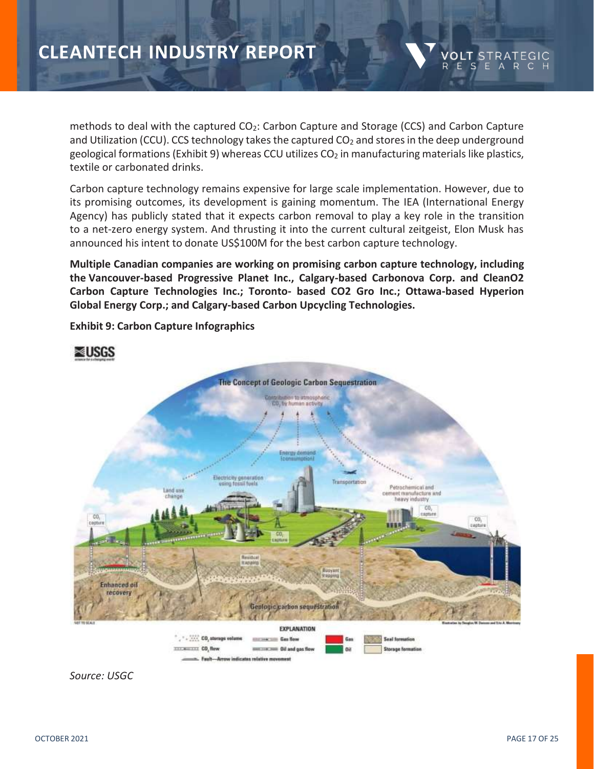methods to deal with the captured CO<sub>2</sub>: Carbon Capture and Storage (CCS) and Carbon Capture and Utilization (CCU). CCS technology takes the captured  $CO<sub>2</sub>$  and stores in the deep underground geological formations (Exhibit 9) whereas CCU utilizes  $CO<sub>2</sub>$  in manufacturing materials like plastics, textile or carbonated drinks.

Carbon capture technology remains expensive for large scale implementation. However, due to its promising outcomes, its development is gaining momentum. The IEA (International Energy Agency) has publicly stated that it expects carbon removal to play a key role in the transition to a net-zero energy system. And thrusting it into the current cultural zeitgeist, Elon Musk has announced his intent to donate US\$100M for the best carbon capture technology.

**Multiple Canadian companies are working on promising carbon capture technology, including the Vancouver-based Progressive Planet Inc., Calgary-based Carbonova Corp. and CleanO2 Carbon Capture Technologies Inc.; Toronto- based CO2 Gro Inc.; Ottawa-based Hyperion Global Energy Corp.; and Calgary-based Carbon Upcycling Technologies.**



**Exhibit 9: Carbon Capture Infographics**



VOLT STRATEGIC E S E A R C H

R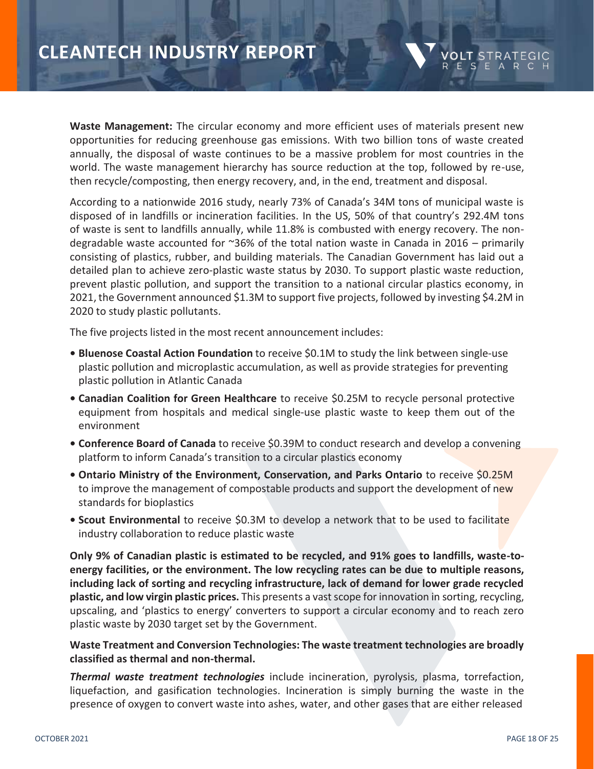**Waste Management:** The circular economy and more efficient uses of materials present new opportunities for reducing greenhouse gas emissions. With two billion tons of waste created annually, the disposal of waste continues to be a massive problem for most countries in the world. The waste management hierarchy has source reduction at the top, followed by re-use, then recycle/composting, then energy recovery, and, in the end, treatment and disposal.

According to a nationwide 2016 study, nearly 73% of Canada's 34M tons of municipal waste is disposed of in landfills or incineration facilities. In the US, 50% of that country's 292.4M tons of waste is sent to landfills annually, while 11.8% is combusted with energy recovery. The nondegradable waste accounted for  $\approx 36\%$  of the total nation waste in Canada in 2016 – primarily consisting of plastics, rubber, and building materials. The Canadian Government has laid out a detailed plan to achieve zero-plastic waste status by 2030. To support plastic waste reduction, prevent plastic pollution, and support the transition to a national circular plastics economy, in 2021, the Government announced \$1.3M to support five projects, followed by investing \$4.2M in 2020 to study plastic pollutants.

The five projects listed in the most recent announcement includes:

- **• Bluenose Coastal Action Foundation** to receive \$0.1M to study the link between single-use plastic pollution and microplastic accumulation, as well as provide strategies for preventing plastic pollution in Atlantic Canada
- **• Canadian Coalition for Green Healthcare** to receive \$0.25M to recycle personal protective equipment from hospitals and medical single-use plastic waste to keep them out of the environment
- **• Conference Board of Canada** to receive \$0.39M to conduct research and develop a convening platform to inform Canada's transition to a circular plastics economy
- Ontario Ministry of the Environment, Conservation, and Parks Ontario to receive \$0.25M to improve the management of compostable products and support the development of new standards for bioplastics
- **• Scout Environmental** to receive \$0.3M to develop a network that to be used to facilitate industry collaboration to reduce plastic waste

**Only 9% of Canadian plastic is estimated to be recycled, and 91% goes to landfills, waste-toenergy facilities, or the environment. The low recycling rates can be due to multiple reasons, including lack of sorting and recycling infrastructure, lack of demand for lower grade recycled plastic, and low virgin plastic prices.** This presents a vastscope forinnovation in sorting, recycling, upscaling, and 'plastics to energy' converters to support a circular economy and to reach zero plastic waste by 2030 target set by the Government.

### **Waste Treatment and Conversion Technologies: The waste treatment technologies are broadly classified as thermal and non-thermal.**

*Thermal waste treatment technologies* include incineration, pyrolysis, plasma, torrefaction, liquefaction, and gasification technologies. Incineration is simply burning the waste in the presence of oxygen to convert waste into ashes, water, and other gases that are either released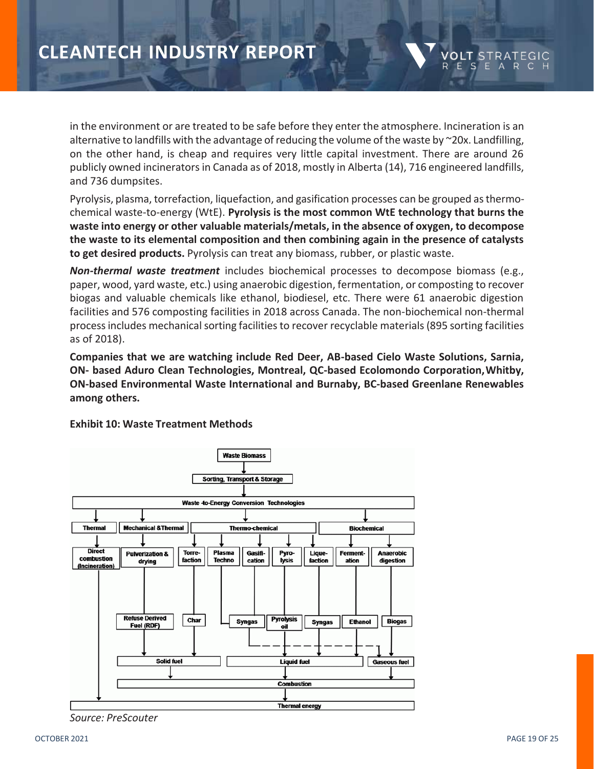in the environment or are treated to be safe before they enter the atmosphere. Incineration is an alternative to landfills with the advantage of reducing the volume of the waste by ~20x. Landfilling, on the other hand, is cheap and requires very little capital investment. There are around 26 publicly owned incinerators in Canada as of 2018, mostly in Alberta (14), 716 engineered landfills, and 736 dumpsites.

Pyrolysis, plasma, torrefaction, liquefaction, and gasification processes can be grouped asthermochemical waste-to-energy (WtE). **Pyrolysis is the most common WtE technology that burns the waste into energy or other valuable materials/metals, in the absence of oxygen, to decompose the waste to its elemental composition and then combining again in the presence of catalysts to get desired products.** Pyrolysis can treat any biomass, rubber, or plastic waste.

*Non-thermal waste treatment* includes biochemical processes to decompose biomass (e.g., paper, wood, yard waste, etc.) using anaerobic digestion, fermentation, or composting to recover biogas and valuable chemicals like ethanol, biodiesel, etc. There were 61 anaerobic digestion facilities and 576 composting facilities in 2018 across Canada. The non-biochemical non-thermal process includes mechanical sorting facilities to recover recyclable materials (895 sorting facilities as of 2018).

**Companies that we are watching include Red Deer, AB-based Cielo Waste Solutions, Sarnia, ON- based Aduro Clean Technologies, Montreal, QC-based Ecolomondo Corporation,Whitby, ON-based Environmental Waste International and Burnaby, BC-based Greenlane Renewables among others.**



**Exhibit 10: Waste Treatment Methods**

*Source: PreScouter*

**VOLT STRATEG** 

ESEARC

R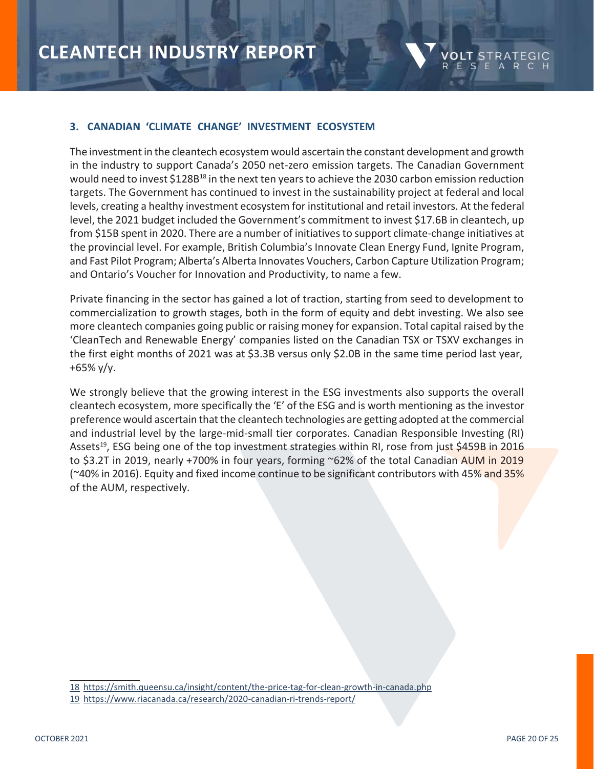

### **3. CANADIAN 'CLIMATE CHANGE' INVESTMENT ECOSYSTEM**

The investment in the cleantech ecosystem would ascertain the constant development and growth in the industry to support Canada's 2050 net-zero emission targets. The Canadian Government would need to invest \$128B<sup>18</sup> in the next ten years to achieve the 2030 carbon emission reduction targets. The Government has continued to invest in the sustainability project at federal and local levels, creating a healthy investment ecosystem for institutional and retail investors. At the federal level, the 2021 budget included the Government's commitment to invest \$17.6B in cleantech, up from \$15B spent in 2020. There are a number of initiatives to support climate-change initiatives at the provincial level. For example, British Columbia's Innovate Clean Energy Fund, Ignite Program, and Fast Pilot Program; Alberta's Alberta Innovates Vouchers, Carbon Capture Utilization Program; and Ontario's Voucher for Innovation and Productivity, to name a few.

Private financing in the sector has gained a lot of traction, starting from seed to development to commercialization to growth stages, both in the form of equity and debt investing. We also see more cleantech companies going public or raising money for expansion. Total capital raised by the 'CleanTech and Renewable Energy' companies listed on the Canadian TSX or TSXV exchanges in the first eight months of 2021 was at \$3.3B versus only \$2.0B in the same time period last year, +65% y/y.

We strongly believe that the growing interest in the ESG investments also supports the overall cleantech ecosystem, more specifically the 'E' of the ESG and is worth mentioning as the investor preference would ascertain that the cleantech technologies are getting adopted at the commercial and industrial level by the large-mid-small tier corporates. Canadian Responsible Investing (RI) Assets<sup>19</sup>, ESG being one of the top investment strategies within RI, rose from just \$459B in 2016 to \$3.2T in 2019, nearly +700% in four years, forming ~62% of the total Canadian AUM in 2019 (~40% in 2016). Equity and fixed income continue to be significant contributors with 45% and 35% of the AUM, respectively.

<sup>18</sup> <https://smith.queensu.ca/insight/content/the-price-tag-for-clean-growth-in-canada.php>

<sup>19</sup> <https://www.riacanada.ca/research/2020-canadian-ri-trends-report/>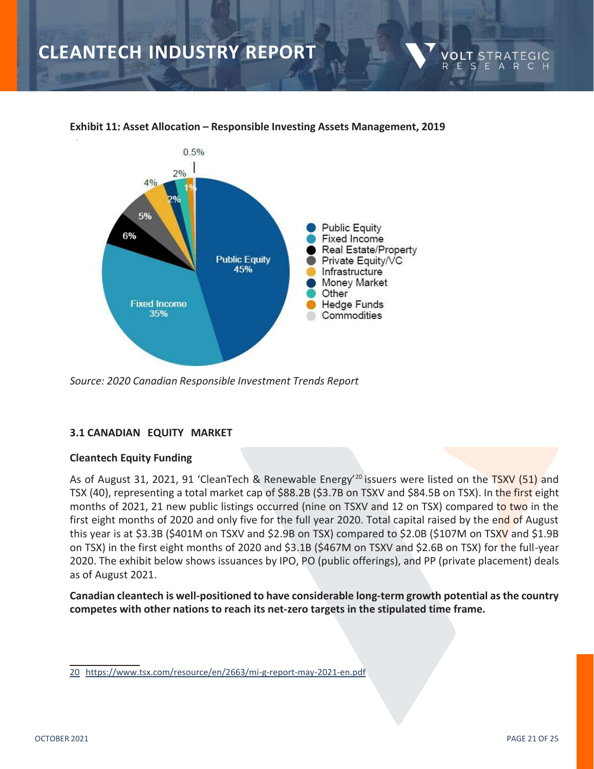

### **Exhibit 11: Asset Allocation – Responsible Investing Assets Management, 2019**

*Source: 2020 Canadian Responsible Investment Trends Report*

### **3.1 CANADIAN EQUITY MARKET**

### **Cleantech Equity Funding**

As of August 31, 2021, 91 'CleanTech & Renewable Energy<sup>'20</sup> issuers were listed on the TSXV (51) and TSX (40), representing a total market cap of \$88.2B (\$3.7B on TSXV and \$84.5B on TSX). In the first eight months of 2021, 21 new public listings occurred (nine on TSXV and 12 on TSX) compared to two in the first eight months of 2020 and only five for the full year 2020. Total capital raised by the end of August this year is at \$3.3B (\$401M on TSXV and \$2.9B on TSX) compared to \$2.0B (\$107M on TSXV and \$1.9B on TSX) in the first eight months of 2020 and \$3.1B (\$467M on TSXV and \$2.6B on TSX) for the full-year 2020. The exhibit below shows issuances by IPO, PO (public offerings), and PP (private placement) deals as of August 2021.

**Canadian cleantech is well-positioned to have considerable long-term growth potential as the country competes with other nations to reach its net-zero targets in the stipulated time frame.**

VOI T ΞE.

S E

<sup>20</sup> <https://www.tsx.com/resource/en/2663/mi-g-report-may-2021-en.pdf>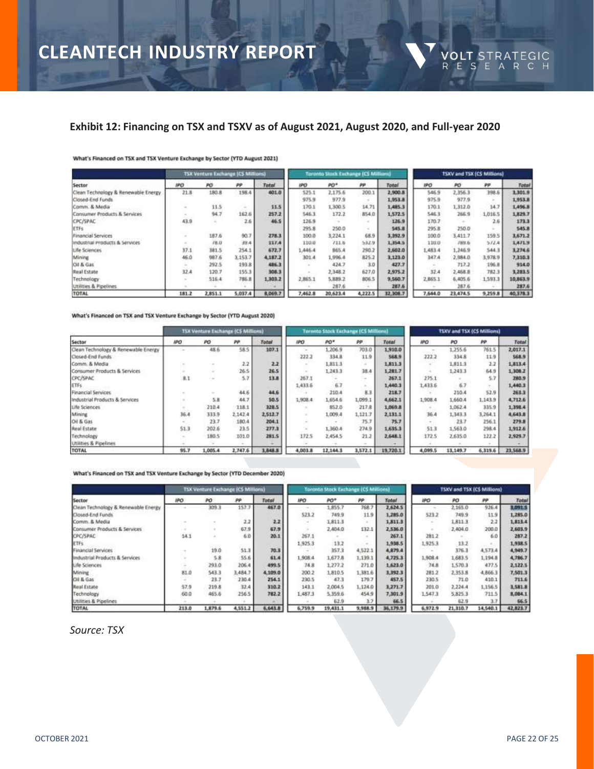### **Exhibit 12: Financing on TSX and TSXV as of August 2021, August 2020, and Full-year 2020**

#### What's Financed on TSX and TSX Venture Exchange by Sector (YTD August 2021)

|                                     |       | TSX Venture Exchange (CS Millions) |                                                                     |         |            | <b>Toronto Stock Exchange ICS Millionia</b> |         |              | TSXV and TSX (CS Millions) |          |         |          |
|-------------------------------------|-------|------------------------------------|---------------------------------------------------------------------|---------|------------|---------------------------------------------|---------|--------------|----------------------------|----------|---------|----------|
| Sector                              | IPO.  | PO.                                | PP                                                                  | Total   | <b>IPO</b> | PO*                                         | pp      | Total        | IPO                        | PO       | PP      | Total    |
| Clean Technology & Renewable Energy | 21.8  | 180.8                              | 198.4                                                               | 401.0   | 525.1      | 2,175.6                                     | 200.1   | 2,900.8      | 546.9                      | 2,356.3  | 398.6   | 1,301.9  |
| Closed-End Funds                    |       |                                    |                                                                     |         | 975.9      | 977.9                                       |         | 1,953.8      | 975.9                      | 977.9    |         | 1,953.8  |
| Comm. & Media                       |       | 11.5                               | $\frac{1}{2} \left( \frac{1}{2} \right) \left( \frac{1}{2} \right)$ | 11.5    | 170.1      | 1,300.5                                     | 14.71   | 1,485.3      | 170.1                      | 1,312.0  | 14.7    | 1,496.8  |
| Consumer Products & Services        |       | 94.7                               | 162.6                                                               | 257.2   | 546.3      | 172.2                                       | 854.0   | 1,572.5      | 546.3                      | 266.9    | 1,016.5 | 1,829.7  |
| CPC/SPAC                            | 43.9  |                                    | 2.6                                                                 | 46.5    | 126.9      |                                             |         | 126.9        | 170.7                      |          | 2.6     | 173.3    |
| ETFs                                |       |                                    |                                                                     |         | 295.8      | 250.0                                       | $\sim$  | <b>545.B</b> | 295.8                      | 250.0    |         | 545.8    |
| Financial Services                  |       | 187.6                              | 90.7                                                                | 278.3   | 100.0      | 3.224.1                                     | 68.9    | 3,392.9      | 100.0                      | 3,411.7  | 159.5   | 3,671.2  |
| industrial Products & Services      |       | 78.0                               | 39.4                                                                | 337.4   | 110.0      | I11.6                                       | 532.9   | 1,354.5      | 110.0                      | 789.6    | 5/2.4   | 1.471.9  |
| Life Sciences                       | 37.1  | 181.5                              | 254.1                                                               | 672.7   | 1.446.4    | 865.4                                       | 290.2   | 2,602.0      | 1.483.4                    | 1,246.9  | 544.3   | 3,274.6  |
| Mining                              | 46.0  | 987.6                              | 3,153.7                                                             | 4,187.2 | 301.4      | 1,996.4                                     | 825.2   | 3,123.0      | 347.4                      | 2,984.0  | 3,978.9 | E.01E.T  |
| Oil & Gas                           |       | 292.5                              | 1938                                                                | 486.3   |            | 424.7                                       | 3.0     | 427.7        |                            | 717.2    | 196.B   | 914.0    |
| Real Estate                         | 32.4  | 120.7                              | 155.3                                                               | 308.3   |            | 2.348.2                                     | 627.0   | 2,975.2      | 32.4                       | 2,468.8  | 782.3   | 3,283.5  |
| Technology                          |       | 516.4                              | 786.8                                                               | 1,303.2 | 2,865.1    | 5,889.2                                     | 806.5   | 9,560.7      | 2,865.1                    | 6,405.6  | 1.593.3 | 10,863.9 |
| <b>Utilities &amp; Pipelines</b>    |       |                                    |                                                                     |         |            | 287.6                                       |         | 287.6        |                            | 287.6    |         | 287.6    |
| TOTAL                               | 181.2 | 2,851.1                            | 5,037.4                                                             | 8,069.7 | 7,462.8    | 20,623.4                                    | 4,222.5 | 32,308.7     | 7,644.0                    | 23,474.5 | 9,259.8 | 40,378.3 |

#### What's Financed on TSX and TSX Venture Exchange by Sector (YTD August 2020)

|                                     |                                                                     | TSX Venture Exchange (CS Millions) |         |         |         | <b>Toronto Stock Exchange (CS Millions)</b> |         |              | <b>TSXV and TSX (CS Millions)</b> |          |         |          |
|-------------------------------------|---------------------------------------------------------------------|------------------------------------|---------|---------|---------|---------------------------------------------|---------|--------------|-----------------------------------|----------|---------|----------|
| Sector                              | <b>IPO</b>                                                          | PO                                 | PP      | Total   | IPO.    | PO*                                         | pp      | <b>Total</b> | <b>IPO</b>                        | PO.      | m       | Total    |
| Clean Technology & Renewable Energy | $\sim$                                                              | 48.5                               | 58.5    | 107.1   |         | 1.206.9                                     | 703.0   | 1,910.0      |                                   | 1,255.6  | 761.5   | 2,017.1  |
| Closed-End Funds                    |                                                                     |                                    |         |         | 222.3   | 334.B                                       | 11.9    | 568.9        | 222.2                             | 334.8    | 119     | 568.9    |
| Comm. & Media                       |                                                                     |                                    | 2.2     | 2.2     |         | 1,811.3                                     | ng m    | 1,811.3      |                                   | 1,811.3  | 2.2     | 1,813.4  |
| Consumer Products & Services        |                                                                     | $\sim$                             | 26.5    | 26.5    |         | 1.243.3                                     | 38.4    | 1,281.7      |                                   | 1,243.3  | 64.9    | 1,308.2  |
| <b>CPC/SPAC</b>                     | 8.1                                                                 | Call 1                             | 5.7     | 13.8    | 267.1   |                                             | $\sim$  | 267.1        | 275.1                             |          | 5.7     | 280.9    |
| ETFs.                               |                                                                     |                                    |         |         | 1,433.6 | 6.7                                         | ÷.      | 1,440.3      | 1,433.6                           | 67       | $\sim$  | 1,440.1  |
| <b>Financial Services</b>           | $\sim$                                                              |                                    | 44.6    | 44.6    |         | 210.4                                       | B.3     | 218.7        |                                   | 210.4    | 52.9    | 263.3    |
| Industrial Products & Services      | $\frac{1}{2} \left( \frac{1}{2} \right) \left( \frac{1}{2} \right)$ | 5.8                                | 44.7    | 50.5    | 1,908.4 | 1,654.6                                     | 1,099.1 | 4,662.1      | 1,908.4                           | 1.660.4  | 1.143.9 | 4,712.6  |
| Life Sciences                       | $\sim$                                                              | 210.4                              | 118.1   | 328.5   |         | 852.0                                       | 217.8   | 1,069.8      |                                   | 1,062.4  | 335.9   | 1,398.4  |
| Mining.                             | 36.4                                                                | 333.9                              | 2.142.4 | 2,512.7 | $\sim$  | 1,009.4                                     | 1,121.7 | 2,131.1      | 36.4                              | 1,343.3  | 3,264.1 | 4,643.8  |
| Oil & Gas                           | $\sim$                                                              | 23.7                               | 180.4   | 204.1   |         |                                             | 75.7    | 75.7         | ٠                                 | 23.7     | 256.1   | 279.8    |
| Real Estate                         | 51.3                                                                | 202.6                              | 23.5    | 277.3   | $\sim$  | 1,360.4                                     | 274.9   | 1,635.3      | 51.3                              | 1,561.0  | 298.4   | 1,912.6  |
| Technology                          |                                                                     | 180.5                              | 101.0   | 281.5   | 172.5   | 2.454.5                                     | 21.2    | 2,648.3      | 172.5                             | 2,635.0  | 122.2   | 2,929.7  |
| Utilities & Pipelines               |                                                                     |                                    |         |         |         |                                             |         |              |                                   |          |         |          |
| TOTAL                               | 95.7                                                                | 1,005.4                            | 2,747.6 | 3,848.8 | 4,003.8 | 12,144.3                                    | 3,572.1 | 19,720.1     | 4,099.5                           | 13,149.7 | 6,319.6 | 23,568.9 |

What's Financed on TSX and TSX Venture Exchange by Sector (YTD December 2020)

|                                     |       | <b>TSX Venture Exchange (CS Millions)</b> |         |         |         | Toronto Stock Exchange (CS Millions) |           |          | <b>TSXV and TSX (CS Millions)</b> |          |          |          |
|-------------------------------------|-------|-------------------------------------------|---------|---------|---------|--------------------------------------|-----------|----------|-----------------------------------|----------|----------|----------|
| Sector                              | IPO.  | PO.                                       | æ       | Total   | IPO     | PO*                                  | <b>PP</b> | Total    | IPO.                              | PO.      | pp       | Total    |
| Clean Technology & Renewable Energy |       | 309.3                                     | 157.7   | 467.0   |         | 1.855.7                              | 768.2     | 2,624.5  |                                   | 2,165.0  | 926.4    | 3,091.5  |
| Closed-End Funds                    |       |                                           |         |         | 523.2   | 749.9                                | 11.9      | 1,285.0  | 523.2                             | 749.9    | 11.9     | 1,285.0  |
| Comm. & Media                       |       |                                           | 2.2     | 2.2     | $\sim$  | 18113                                |           | 1,811.3  |                                   | 1,8113   | 2.2      | 1,813.4  |
| Consumer Products & Services        |       |                                           | 67.9    | 67.9    | $\sim$  | 2,404.0                              | 132.1     | 2,536.0  |                                   | 2,404.0  | 200.0    | 2,603.9  |
| <b>CPC/SPAC</b>                     | 14.1  |                                           | 6.0     | 20.1    | 267.1   |                                      | $\sim$    | 267.1    | 281.2                             |          | 6.0      | 287.2    |
| ETFs.                               |       |                                           |         |         | 1.925.3 | 13.2                                 | $-$       | 1.938.5  | 1,925.3                           | 13:2     |          | 1,938.5  |
| <b>Financial Services</b>           |       | 19.0                                      | 51.3    | 70.3    |         | 357.3                                | 4,522.1   | 4,879.4  |                                   | 376.3    | 4,573.4  | 4,949.7  |
| Industrial Products & Services      |       | 5.8                                       | 55.6    | 61.4    | 1,908.4 | 1,677.8                              | 1,139.1   | 4.725.3  | 1,908.4                           | 1,683.5  | 1,194.8  | 4,786.7  |
| Life Sciences                       |       | 293.0                                     | 206.4   | 499.5   | 74.8    | 1,277.2                              | 271.0     | 1,621.0  | 74.8                              | 1,570.3  | 477.5    | 2,122.5  |
| Mining                              | 81.0  | 543.3                                     | 3,484.7 | 4,109.0 | 200.2   | 1,810.5                              | 1,381.6   | 3,392.3  | 281.2                             | 2,353.8  | 4,866.3  | 7,501.3  |
| Cil & Gas                           | -55   | 23.7                                      | 230.4   | 254.1   | 230.5   | 47.3                                 | 179.7     | 457.5    | 230.5                             | 71.0     | 410.1    | 711.6    |
| <b>Real Estate</b>                  | 57.9  | 219.8                                     | 32.4    | 310.2   | 143.1   | 2,004.5                              | 1.124.0   | 1,271.7  | 201.0                             | 2,224.4  | 1,156.5  | 1,581.8  |
| Technology                          | 60.0  | 465.6                                     | 256.5   | 782.2   | 1,487.3 | 5.359.6                              | 454.9     | 7,301.9  | 1,547.3                           | 5,825.3  | 711.5    | 8,084.1  |
| Utilities & Pipelines               |       |                                           |         |         |         | 62.9                                 | 3.7       | 66.5     |                                   | 62.9     | 33       | 66.5     |
| TOTAL                               | 213.0 | 1,879.6                                   | 4,551.2 | 6,643.8 | 6,759.9 | 19,431.1                             | 9,988.9   | 36,179.9 | 6,972.9                           | 21,310.7 | 14,540.1 | 42,821.7 |

*Source: TSX*

**VOLT** STRATEGIC<br>RESEARCH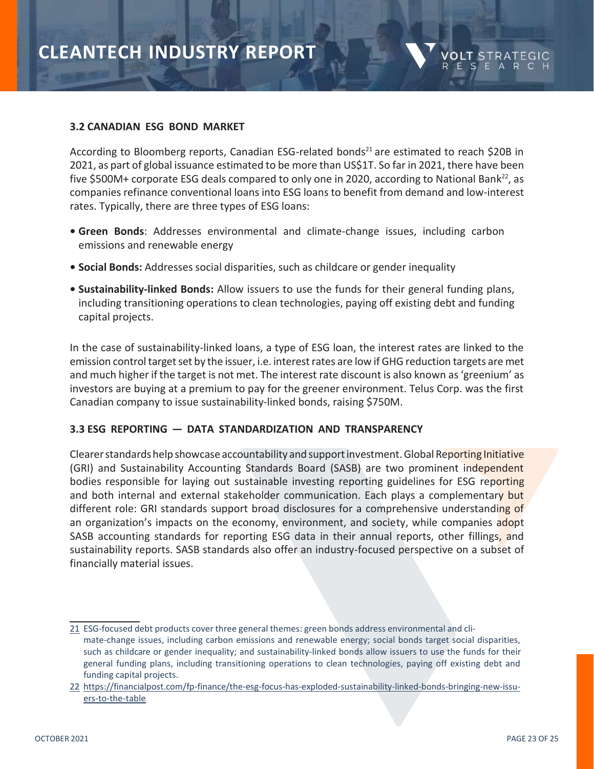

### **3.2 CANADIAN ESG BOND MARKET**

According to Bloomberg reports, Canadian ESG-related bonds<sup>21</sup> are estimated to reach \$20B in 2021, as part of global issuance estimated to be more than US\$1T. So far in 2021, there have been five \$500M+ corporate ESG deals compared to only one in 2020, according to National Bank<sup>22</sup>, as companies refinance conventional loans into ESG loans to benefit from demand and low-interest rates. Typically, there are three types of ESG loans:

- **• Green Bonds**: Addresses environmental and climate-change issues, including carbon emissions and renewable energy
- **• Social Bonds:** Addresses social disparities, such as childcare or gender inequality
- **• Sustainability-linked Bonds:** Allow issuers to use the funds for their general funding plans, including transitioning operations to clean technologies, paying off existing debt and funding capital projects.

In the case of sustainability-linked loans, a type of ESG loan, the interest rates are linked to the emission control target set by the issuer, i.e. interest rates are low if GHG reduction targets are met and much higher if the target is not met. The interest rate discount is also known as'greenium' as investors are buying at a premium to pay for the greener environment. Telus Corp. was the first Canadian company to issue sustainability-linked bonds, raising \$750M.

### **3.3 ESG REPORTING — DATA STANDARDIZATION AND TRANSPARENCY**

Clearer standards help showcase accountability and support investment. Global Reporting Initiative (GRI) and Sustainability Accounting Standards Board (SASB) are two prominent independent bodies responsible for laying out sustainable investing reporting guidelines for ESG reporting and both internal and external stakeholder communication. Each plays a complementary but different role: GRI standards support broad disclosures for a comprehensive understanding of an organization's impacts on the economy, environment, and society, while companies adopt SASB accounting standards for reporting ESG data in their annual reports, other fillings, and sustainability reports. SASB standards also offer an industry-focused perspective on a subset of financially material issues.

<sup>21</sup> ESG-focused debt products cover three general themes: green bonds address environmental and climate-change issues, including carbon emissions and renewable energy; social bonds target social disparities, such as childcare or gender inequality; and sustainability-linked bonds allow issuers to use the funds for their general funding plans, including transitioning operations to clean technologies, paying off existing debt and funding capital projects.

<sup>22</sup> [https://financialpost.com/fp-finance/the-esg-focus-has-exploded-sustainability-linked-bonds-bringing-new-issu](https://financialpost.com/fp-finance/the-esg-focus-has-exploded-sustainability-linked-bonds-bringing-new-issuers-to-the-table)[ers-to-the-table](https://financialpost.com/fp-finance/the-esg-focus-has-exploded-sustainability-linked-bonds-bringing-new-issuers-to-the-table)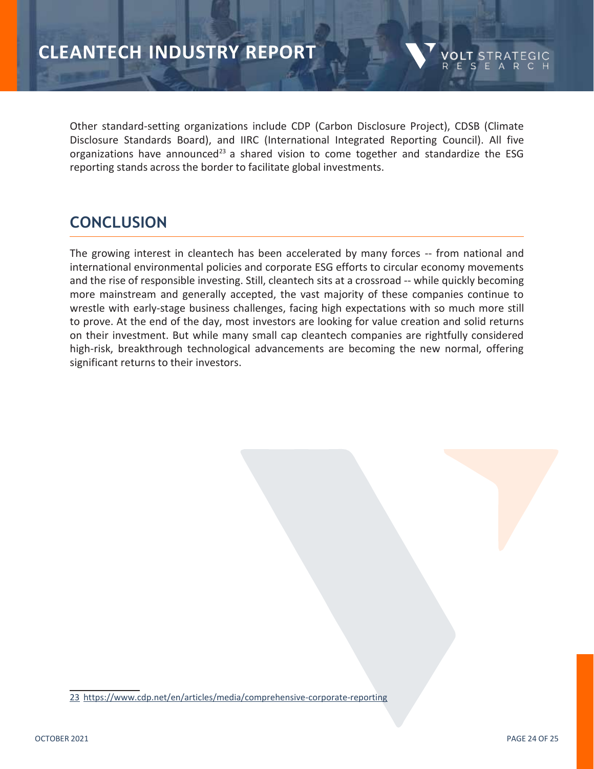Other standard-setting organizations include CDP (Carbon Disclosure Project), CDSB (Climate Disclosure Standards Board), and IIRC (International Integrated Reporting Council). All five organizations have announced<sup>23</sup> a shared vision to come together and standardize the ESG reporting stands across the border to facilitate global investments.

### **CONCLUSION**

The growing interest in cleantech has been accelerated by many forces -- from national and international environmental policies and corporate ESG efforts to circular economy movements and the rise of responsible investing. Still, cleantech sits at a crossroad -- while quickly becoming more mainstream and generally accepted, the vast majority of these companies continue to wrestle with early-stage business challenges, facing high expectations with so much more still to prove. At the end of the day, most investors are looking for value creation and solid returns on their investment. But while many small cap cleantech companies are rightfully considered high-risk, breakthrough technological advancements are becoming the new normal, offering significant returns to their investors.

23 <https://www.cdp.net/en/articles/media/comprehensive-corporate-reporting>